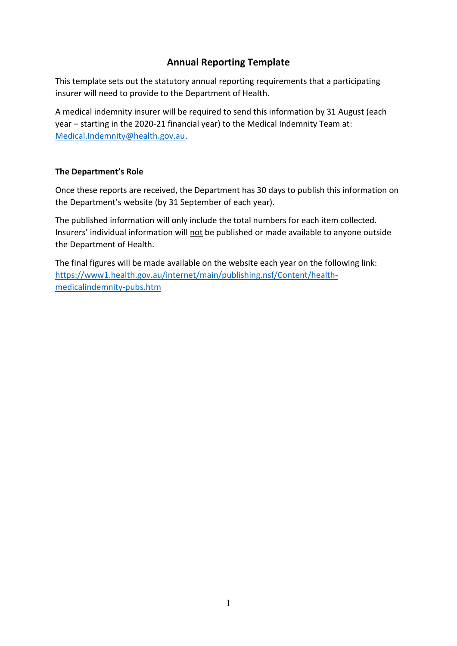## **Annual Reporting Template**

This template sets out the statutory annual reporting requirements that a participating insurer will need to provide to the Department of Health.

A medical indemnity insurer will be required to send this information by 31 August (each year – starting in the 2020-21 financial year) to the Medical Indemnity Team at: [Medical.Indemnity@health.gov.au.](mailto:Medical.Indemnity@health.gov.au)

## **The Department's Role**

Once these reports are received, the Department has 30 days to publish this information on the Department's website (by 31 September of each year).

The published information will only include the total numbers for each item collected. Insurers' individual information will not be published or made available to anyone outside the Department of Health.

The final figures will be made available on the website each year on the following link: [https://www1.health.gov.au/internet/main/publishing.nsf/Content/health](https://www1.health.gov.au/internet/main/publishing.nsf/Content/health-medicalindemnity-pubs.htm)[medicalindemnity-pubs.htm](https://www1.health.gov.au/internet/main/publishing.nsf/Content/health-medicalindemnity-pubs.htm)